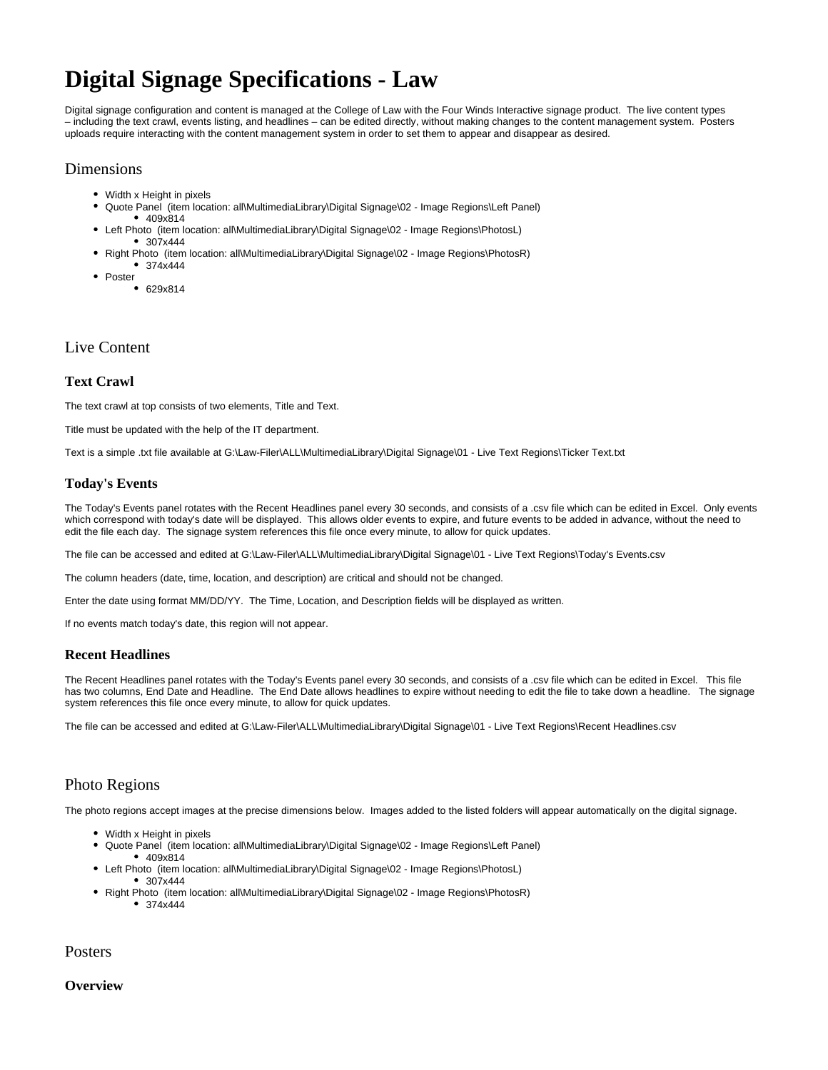# **Digital Signage Specifications - Law**

Digital signage configuration and content is managed at the College of Law with the Four Winds Interactive signage product. The live content types – including the text crawl, events listing, and headlines – can be edited directly, without making changes to the content management system. Posters uploads require interacting with the content management system in order to set them to appear and disappear as desired.

### Dimensions

- Width x Height in pixels
- Quote Panel (item location: all\MultimediaLibrary\Digital Signage\02 Image Regions\Left Panel) 409x814
- Left Photo (item location: all\MultimediaLibrary\Digital Signage\02 Image Regions\PhotosL)  $-307x444$
- Right Photo (item location: all\MultimediaLibrary\Digital Signage\02 Image Regions\PhotosR) 374x444
- Poster
	- 629x814

## Live Content

#### **Text Crawl**

The text crawl at top consists of two elements, Title and Text.

Title must be updated with the help of the IT department.

Text is a simple .txt file available at G:\Law-Filer\ALL\MultimediaLibrary\Digital Signage\01 - Live Text Regions\Ticker Text.txt

#### **Today's Events**

The Today's Events panel rotates with the Recent Headlines panel every 30 seconds, and consists of a .csv file which can be edited in Excel. Only events which correspond with today's date will be displayed. This allows older events to expire, and future events to be added in advance, without the need to edit the file each day. The signage system references this file once every minute, to allow for quick updates.

The file can be accessed and edited at G:\Law-Filer\ALL\MultimediaLibrary\Digital Signage\01 - Live Text Regions\Today's Events.csv

The column headers (date, time, location, and description) are critical and should not be changed.

Enter the date using format MM/DD/YY. The Time, Location, and Description fields will be displayed as written.

If no events match today's date, this region will not appear.

#### **Recent Headlines**

The Recent Headlines panel rotates with the Today's Events panel every 30 seconds, and consists of a .csv file which can be edited in Excel. This file has two columns, End Date and Headline. The End Date allows headlines to expire without needing to edit the file to take down a headline. The signage system references this file once every minute, to allow for quick updates.

The file can be accessed and edited at G:\Law-Filer\ALL\MultimediaLibrary\Digital Signage\01 - Live Text Regions\Recent Headlines.csv

## Photo Regions

The photo regions accept images at the precise dimensions below. Images added to the listed folders will appear automatically on the digital signage.

- Width x Height in pixels
- Quote Panel (item location: all\MultimediaLibrary\Digital Signage\02 Image Regions\Left Panel)
- 409x814
- Left Photo (item location: all\MultimediaLibrary\Digital Signage\02 Image Regions\PhotosL) • 307x444
- Right Photo (item location: all\MultimediaLibrary\Digital Signage\02 Image Regions\PhotosR)  $• 374x444$

Posters

#### **Overview**